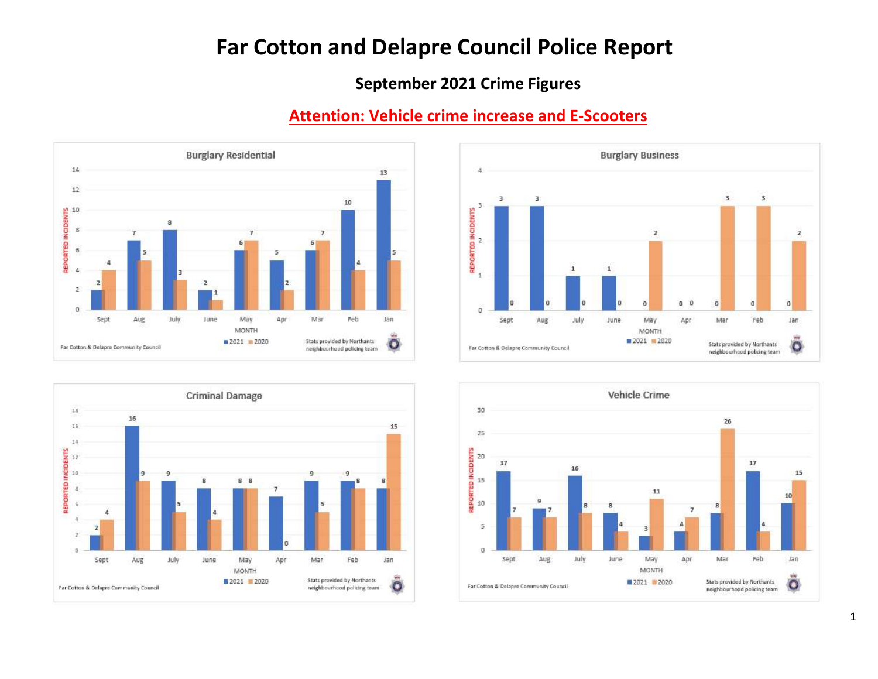# Far Cotton and Delapre Council Police Report

# September 2021 Crime Figures









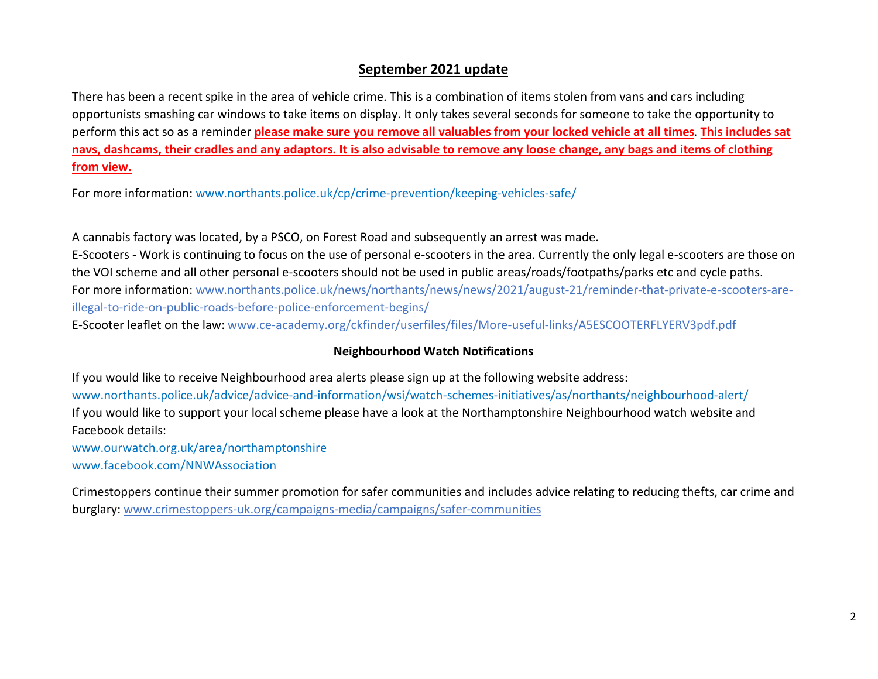#### September 2021 update

There has been a recent spike in the area of vehicle crime. This is a combination of items stolen from vans and cars including opportunists smashing car windows to take items on display. It only takes several seconds for someone to take the opportunity to perform this act so as a reminder please make sure you remove all valuables from your locked vehicle at all times. This includes sat navs, dashcams, their cradles and any adaptors. It is also advisable to remove any loose change, any bags and items of clothing from view.

For more information: www.northants.police.uk/cp/crime-prevention/keeping-vehicles-safe/

A cannabis factory was located, by a PSCO, on Forest Road and subsequently an arrest was made. E-Scooters - Work is continuing to focus on the use of personal e-scooters in the area. Currently the only legal e-scooters are those on the VOI scheme and all other personal e-scooters should not be used in public areas/roads/footpaths/parks etc and cycle paths. For more information: www.northants.police.uk/news/northants/news/news/2021/august-21/reminder-that-private-e-scooters-areillegal-to-ride-on-public-roads-before-police-enforcement-begins/

E-Scooter leaflet on the law: www.ce-academy.org/ckfinder/userfiles/files/More-useful-links/A5ESCOOTERFLYERV3pdf.pdf

#### Neighbourhood Watch Notifications

If you would like to receive Neighbourhood area alerts please sign up at the following website address: www.northants.police.uk/advice/advice-and-information/wsi/watch-schemes-initiatives/as/northants/neighbourhood-alert/ If you would like to support your local scheme please have a look at the Northamptonshire Neighbourhood watch website and Facebook details:

www.ourwatch.org.uk/area/northamptonshire www.facebook.com/NNWAssociation

Crimestoppers continue their summer promotion for safer communities and includes advice relating to reducing thefts, car crime and burglary: www.crimestoppers-uk.org/campaigns-media/campaigns/safer-communities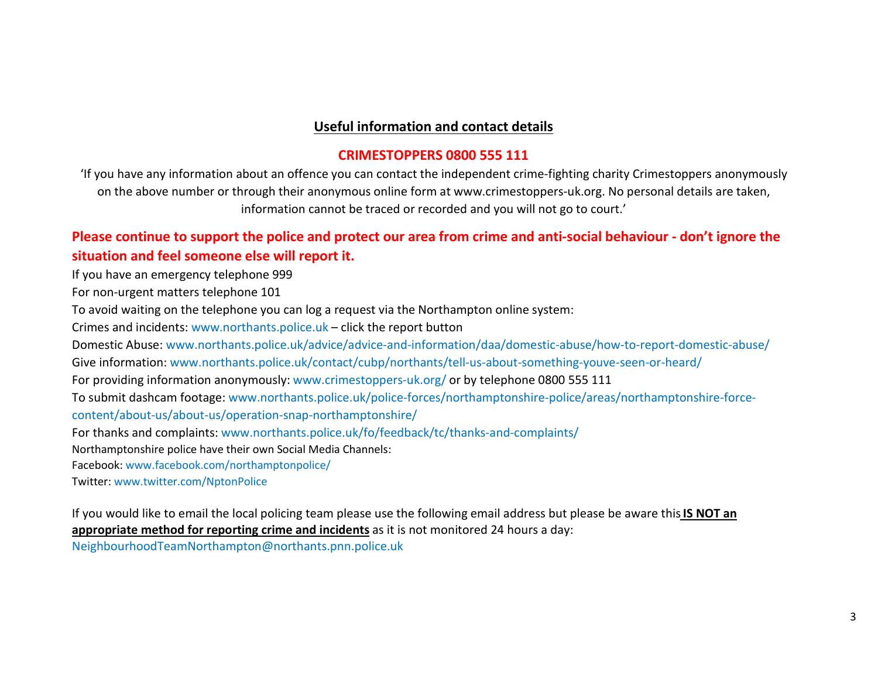## Useful information and contact details

#### CRIMESTOPPERS 0800 555 111

'If you have any information about an offence you can contact the independent crime-fighting charity Crimestoppers anonymously on the above number or through their anonymous online form at www.crimestoppers-uk.org. No personal details are taken, information cannot be traced or recorded and you will not go to court.'

# Please continue to support the police and protect our area from crime and anti-social behaviour - don't ignore the situation and feel someone else will report it.

If you have an emergency telephone 999

For non-urgent matters telephone 101

To avoid waiting on the telephone you can log a request via the Northampton online system:

Crimes and incidents: www.northants.police.uk – click the report button

Domestic Abuse: www.northants.police.uk/advice/advice-and-information/daa/domestic-abuse/how-to-report-domestic-abuse/

Give information: www.northants.police.uk/contact/cubp/northants/tell-us-about-something-youve-seen-or-heard/

For providing information anonymously: www.crimestoppers-uk.org/ or by telephone 0800 555 111

To submit dashcam footage: www.northants.police.uk/police-forces/northamptonshire-police/areas/northamptonshire-forcecontent/about-us/about-us/operation-snap-northamptonshire/

For thanks and complaints: www.northants.police.uk/fo/feedback/tc/thanks-and-complaints/

Northamptonshire police have their own Social Media Channels:

Facebook: www.facebook.com/northamptonpolice/

Twitter: www.twitter.com/NptonPolice

If you would like to email the local policing team please use the following email address but please be aware this IS NOT an appropriate method for reporting crime and incidents as it is not monitored 24 hours a day:

NeighbourhoodTeamNorthampton@northants.pnn.police.uk